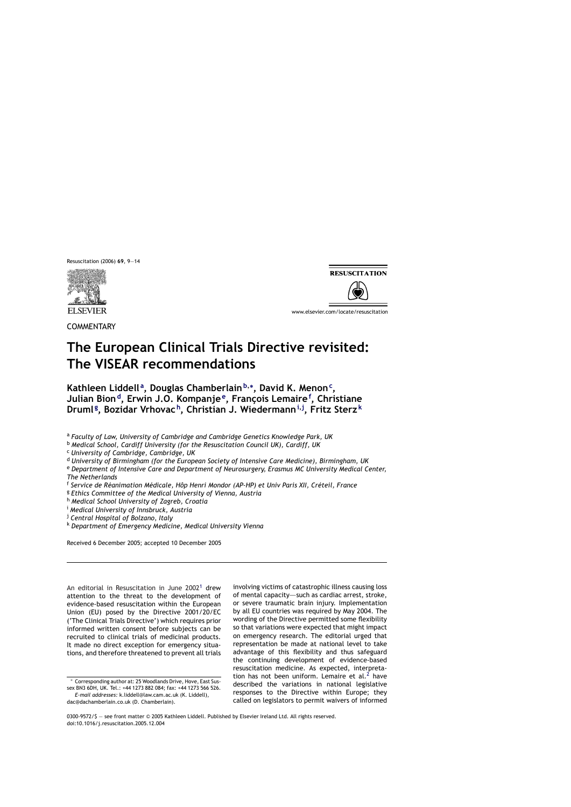

**COMMENTARY** 



www.elsevier.com/locate/resuscitation

# **The European Clinical Trials Directive revisited: The VISEAR recommendations**

**Kathleen Liddell <sup>a</sup> , Douglas Chamberlain<sup>b</sup>,<sup>∗</sup> , David K. Menon<sup>c</sup> ,** Julian Bion<sup>d</sup>, Erwin J.O. Kompanje<sup>e</sup>, François Lemaire<sup>f</sup>, Christiane **Druml <sup>g</sup> , Bozidar Vrhovac h, Christian J. Wiedermanni,<sup>j</sup> , Fritz Sterz <sup>k</sup>**

<sup>a</sup> *Faculty of Law, University of Cambridge and Cambridge Genetics Knowledge Park, UK*

<sup>b</sup> *Medical School, Cardiff University (for the Resuscitation Council UK), Cardiff, UK*

<sup>c</sup> *University of Cambridge, Cambridge, UK*

<sup>d</sup> *University of Birmingham (for the European Society of Intensive Care Medicine), Birmingham, UK*

<sup>e</sup> *Department of Intensive Care and Department of Neurosurgery, Erasmus MC University Medical Center, The Netherlands*

<sup>f</sup> *Service de Reanimation M ´ edicale, H ´ op Henri Mondor (AP-HP) et Univ Paris XII, Cr ˆ eteil, France ´*

<sup>g</sup> *Ethics Committee of the Medical University of Vienna, Austria*

<sup>h</sup> *Medical School University of Zagreb, Croatia*

<sup>i</sup> *Medical University of Innsbruck, Austria*

<sup>j</sup> *Central Hospital of Bolzano, Italy*

<sup>k</sup> *Department of Emergency Medicine, Medical University Vienna*

Received 6 December 2005; accepted 10 December 2005

An editorial in Resuscitation in June 2002<sup>[1](#page-5-0)</sup> drew attention to the threat to the development of evidence-based resuscitation within the European Union (EU) posed by the Directive 2001/20/EC ('The Clinical Trials Directive') which requires prior informed written consent before subjects can be recruited to clinical trials of medicinal products. It made no direct exception for emergency situations, and therefore threatened to prevent all trials

∗ Corresponding author at: 25 Woodlands Drive, Hove, East Sussex BN3 6DH, UK. Tel.: +44 1273 882 084; fax: +44 1273 566 526.

*E-mail addresses:* k.liddell@law.cam.ac.uk (K. Liddell), dac@dachamberlain.co.uk (D. Chamberlain).

involving victims of catastrophic illness causing loss of mental capacity—–such as cardiac arrest, stroke, or severe traumatic brain injury. Implementation by all EU countries was required by May 2004. The wording of the Directive permitted some flexibility so that variations were expected that might impact on emergency research. The editorial urged that representation be made at national level to take advantage of this flexibility and thus safeguard the continuing development of evidence-based resuscitation medicine. As expected, interpreta-tion has not been uniform. Lemaire et al.<sup>[2](#page-5-0)</sup> have described the variations in national legislative responses to the Directive within Europe; they called on legislators to permit waivers of informed

0300-9572/\$ — see front matter © 2005 Kathleen Liddell. Published by Elsevier Ireland Ltd. All rights reserved. doi:10.1016/j.resuscitation.2005.12.004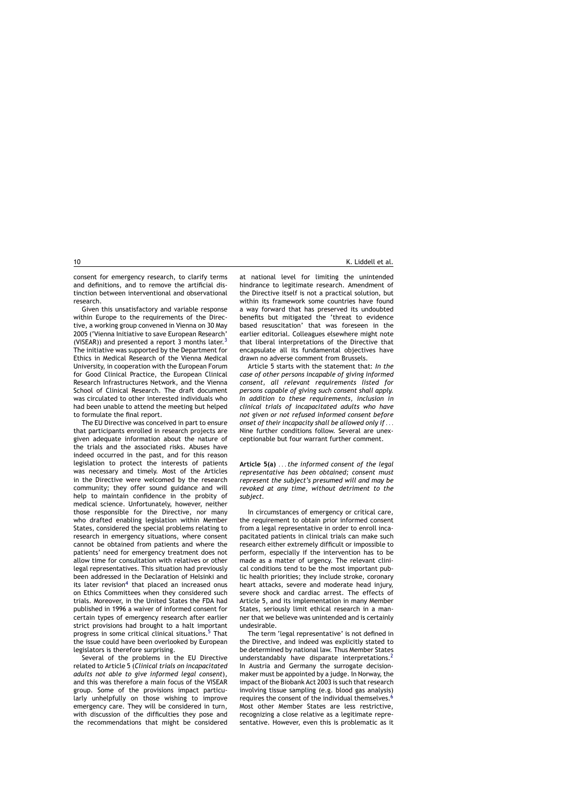consent for emergency research, to clarify terms and definitions, and to remove the artificial distinction between interventional and observational research.

Given this unsatisfactory and variable response within Europe to the requirements of the Directive, a working group convened in Vienna on 30 May 2005 ('Vienna Initiative to save European Research' (VISEAR)) and presented a report [3](#page-5-0) months later.<sup>3</sup> The initiative was supported by the Department for Ethics in Medical Research of the Vienna Medical University, in cooperation with the European Forum for Good Clinical Practice, the European Clinical Research Infrastructures Network, and the Vienna School of Clinical Research. The draft document was circulated to other interested individuals who had been unable to attend the meeting but helped to formulate the final report.

The EU Directive was conceived in part to ensure that participants enrolled in research projects are given adequate information about the nature of the trials and the associated risks. Abuses have indeed occurred in the past, and for this reason legislation to protect the interests of patients was necessary and timely. Most of the Articles in the Directive were welcomed by the research community; they offer sound guidance and will help to maintain confidence in the probity of medical science. Unfortunately, however, neither those responsible for the Directive, nor many who drafted enabling legislation within Member States, considered the special problems relating to research in emergency situations, where consent cannot be obtained from patients and where the patients' need for emergency treatment does not allow time for consultation with relatives or other legal representatives. This situation had previously been addressed in the Declaration of Helsinki and its later revision<sup>[4](#page-5-0)</sup> that placed an increased onus on Ethics Committees when they considered such trials. Moreover, in the United States the FDA had published in 1996 a waiver of informed consent for certain types of emergency research after earlier strict provisions had brought to a halt important progress in some critical clinical situations.<sup>[5](#page-5-0)</sup> That the issue could have been overlooked by European legislators is therefore surprising.

Several of the problems in the EU Directive related to Article 5 (*Clinical trials on incapacitated adults not able to give informed legal consent*), and this was therefore a main focus of the VISEAR group. Some of the provisions impact particularly unhelpfully on those wishing to improve emergency care. They will be considered in turn, with discussion of the difficulties they pose and the recommendations that might be considered at national level for limiting the unintended hindrance to legitimate research. Amendment of the Directive itself is not a practical solution, but within its framework some countries have found a way forward that has preserved its undoubted benefits but mitigated the 'threat to evidence based resuscitation' that was foreseen in the earlier editorial. Colleagues elsewhere might note that liberal interpretations of the Directive that encapsulate all its fundamental objectives have drawn no adverse comment from Brussels.

Article 5 starts with the statement that: *In the case of other persons incapable of giving informed consent, all relevant requirements listed for persons capable of giving such consent shall apply. In addition to these requirements, inclusion in clinical trials of incapacitated adults who have not given or not refused informed consent before onset of their incapacity shall be allowed only if* ... Nine further conditions follow. Several are unexceptionable but four warrant further comment.

**Article 5(a)** ... *the informed consent of the legal representative has been obtained; consent must represent the subject's presumed will and may be revoked at any time, without detriment to the subject.*

In circumstances of emergency or critical care, the requirement to obtain prior informed consent from a legal representative in order to enroll incapacitated patients in clinical trials can make such research either extremely difficult or impossible to perform, especially if the intervention has to be made as a matter of urgency. The relevant clinical conditions tend to be the most important public health priorities; they include stroke, coronary heart attacks, severe and moderate head injury, severe shock and cardiac arrest. The effects of Article 5, and its implementation in many Member States, seriously limit ethical research in a manner that we believe was unintended and is certainly undesirable.

The term 'legal representative' is not defined in the Directive, and indeed was explicitly stated to be determined by national law. Thus Member States understandably have disparate interpretations. $<sup>2</sup>$  $<sup>2</sup>$  $<sup>2</sup>$ </sup> In Austria and Germany the surrogate decisionmaker must be appointed by a judge. In Norway, the impact of the Biobank Act 2003 is such that research involving tissue sampling (e.g. blood gas analysis) requires the consent of the individual themselves.[6](#page-5-0) Most other Member States are less restrictive, recognizing a close relative as a legitimate representative. However, even this is problematic as it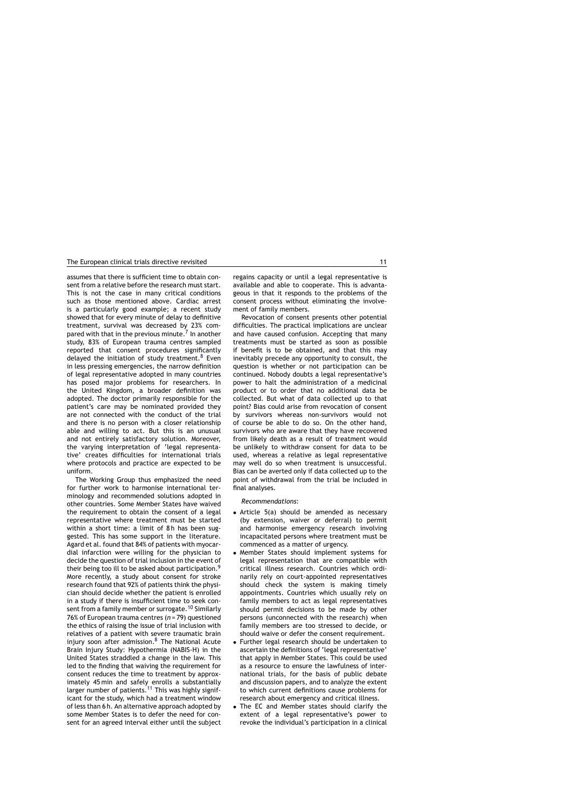assumes that there is sufficient time to obtain consent from a relative before the research must start. This is not the case in many critical conditions such as those mentioned above. Cardiac arrest is a particularly good example; a recent study showed that for every minute of delay to definitive treatment, survival was decreased by 23% com-pared with that in the previous minute.<sup>[7](#page-5-0)</sup> In another study, 83% of European trauma centres sampled reported that consent procedures significantly delayed the initiation of study treatment. $8$  Even in less pressing emergencies, the narrow definition of legal representative adopted in many countries has posed major problems for researchers. In the United Kingdom, a broader definition was adopted. The doctor primarily responsible for the patient's care may be nominated provided they are not connected with the conduct of the trial and there is no person with a closer relationship able and willing to act. But this is an unusual and not entirely satisfactory solution. Moreover, the varying interpretation of 'legal representative' creates difficulties for international trials where protocols and practice are expected to be uniform.

The Working Group thus emphasized the need for further work to harmonise international terminology and recommended solutions adopted in other countries. Some Member States have waived the requirement to obtain the consent of a legal representative where treatment must be started within a short time: a limit of 8h has been suggested. This has some support in the literature. Agard et al. found that 84% of patients with myocardial infarction were willing for the physician to decide the question of trial inclusion in the event of their being too ill to be asked about participation.<sup>[9](#page-5-0)</sup> More recently, a study about consent for stroke research found that 92% of patients think the physician should decide whether the patient is enrolled in a study if there is insufficient time to seek con-sent from a family member or surrogate.<sup>[10](#page-5-0)</sup> Similarly 76% of European trauma centres (*n* = 79) questioned the ethics of raising the issue of trial inclusion with relatives of a patient with severe traumatic brain injury soon after admission.[8](#page-5-0) The National Acute Brain Injury Study: Hypothermia (NABIS-H) in the United States straddled a change in the law. This led to the finding that waiving the requirement for consent reduces the time to treatment by approximately 45 min and safely enrolls a substantially larger number of patients.<sup>11</sup> This was highly significant for the study, which had a treatment window of less than 6 h. An alternative approach adopted by some Member States is to defer the need for consent for an agreed interval either until the subject regains capacity or until a legal representative is available and able to cooperate. This is advantageous in that it responds to the problems of the consent process without eliminating the involvement of family members.

Revocation of consent presents other potential difficulties. The practical implications are unclear and have caused confusion. Accepting that many treatments must be started as soon as possible if benefit is to be obtained, and that this may inevitably precede any opportunity to consult, the question is whether or not participation can be continued. Nobody doubts a legal representative's power to halt the administration of a medicinal product or to order that no additional data be collected. But what of data collected up to that point? Bias could arise from revocation of consent by survivors whereas non-survivors would not of course be able to do so. On the other hand, survivors who are aware that they have recovered from likely death as a result of treatment would be unlikely to withdraw consent for data to be used, whereas a relative as legal representative may well do so when treatment is unsuccessful. Bias can be averted only if data collected up to the point of withdrawal from the trial be included in final analyses.

#### *Recommendations*:

- Article 5(a) should be amended as necessary (by extension, waiver or deferral) to permit and harmonise emergency research involving incapacitated persons where treatment must be commenced as a matter of urgency.
- Member States should implement systems for legal representation that are compatible with critical illness research. Countries which ordinarily rely on court-appointed representatives should check the system is making timely appointments. Countries which usually rely on family members to act as legal representatives should permit decisions to be made by other persons (unconnected with the research) when family members are too stressed to decide, or should waive or defer the consent requirement.
- Further legal research should be undertaken to ascertain the definitions of 'legal representative' that apply in Member States. This could be used as a resource to ensure the lawfulness of international trials, for the basis of public debate and discussion papers, and to analyze the extent to which current definitions cause problems for research about emergency and critical illness.
- The EC and Member states should clarify the extent of a legal representative's power to revoke the individual's participation in a clinical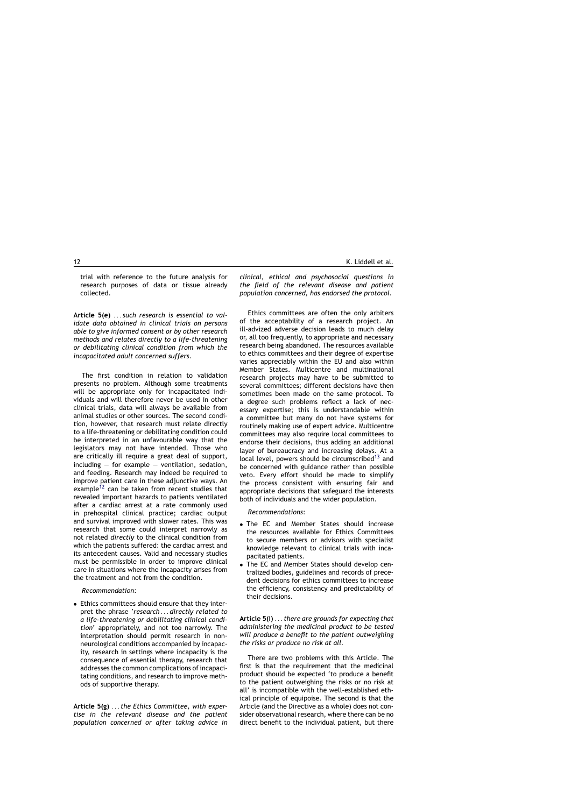trial with reference to the future analysis for research purposes of data or tissue already collected.

**Article 5(e)** ... *such research is essential to validate data obtained in clinical trials on persons able to give informed consent or by other research methods and relates directly to a life-threatening or debilitating clinical condition from which the incapacitated adult concerned suffers.*

The first condition in relation to validation presents no problem. Although some treatments will be appropriate only for incapacitated individuals and will therefore never be used in other clinical trials, data will always be available from animal studies or other sources. The second condition, however, that research must relate directly to a life-threatening or debilitating condition could be interpreted in an unfavourable way that the legislators may not have intended. Those who are critically ill require a great deal of support, including  $-$  for example  $-$  ventilation, sedation, and feeding. Research may indeed be required to improve patient care in these adjunctive ways. An example<sup>[12](#page-5-0)</sup> can be taken from recent studies that revealed important hazards to patients ventilated after a cardiac arrest at a rate commonly used in prehospital clinical practice; cardiac output and survival improved with slower rates. This was research that some could interpret narrowly as not related *directly* to the clinical condition from which the patients suffered: the cardiac arrest and its antecedent causes. Valid and necessary studies must be permissible in order to improve clinical care in situations where the incapacity arises from the treatment and not from the condition.

### *Recommendation*:

• Ethics committees should ensure that they interpret the phrase '*research* ... *directly related to a life-threatening or debilitating clinical condition*' appropriately, and not too narrowly. The interpretation should permit research in nonneurological conditions accompanied by incapacity, research in settings where incapacity is the consequence of essential therapy, research that addresses the common complications of incapacitating conditions, and research to improve methods of supportive therapy.

**Article 5(g)** ... *the Ethics Committee, with expertise in the relevant disease and the patient population concerned or after taking advice in* *population concerned, has endorsed the protocol.*

Ethics committees are often the only arbiters of the acceptability of a research project. An ill-advized adverse decision leads to much delay or, all too frequently, to appropriate and necessary research being abandoned. The resources available to ethics committees and their degree of expertise varies appreciably within the EU and also within Member States. Multicentre and multinational research projects may have to be submitted to several committees; different decisions have then sometimes been made on the same protocol. To a degree such problems reflect a lack of necessary expertise; this is understandable within a committee but many do not have systems for routinely making use of expert advice. Multicentre committees may also require local committees to endorse their decisions, thus adding an additional layer of bureaucracy and increasing delays. At a local level, powers should be circumscribed<sup>[13](#page-5-0)</sup> and be concerned with guidance rather than possible veto. Every effort should be made to simplify the process consistent with ensuring fair and appropriate decisions that safeguard the interests both of individuals and the wider population.

*Recommendations*:

- The EC and Member States should increase the resources available for Ethics Committees to secure members or advisors with specialist knowledge relevant to clinical trials with incapacitated patients.
- The EC and Member States should develop centralized bodies, guidelines and records of precedent decisions for ethics committees to increase the efficiency, consistency and predictability of their decisions.

## **Article 5(i)** ... *there are grounds for expecting that administering the medicinal product to be tested will produce a benefit to the patient outweighing the risks or produce no risk at all.*

There are two problems with this Article. The first is that the requirement that the medicinal product should be expected 'to produce a benefit to the patient outweighing the risks or no risk at all' is incompatible with the well-established ethical principle of equipoise. The second is that the Article (and the Directive as a whole) does not consider observational research, where there can be no direct benefit to the individual patient, but there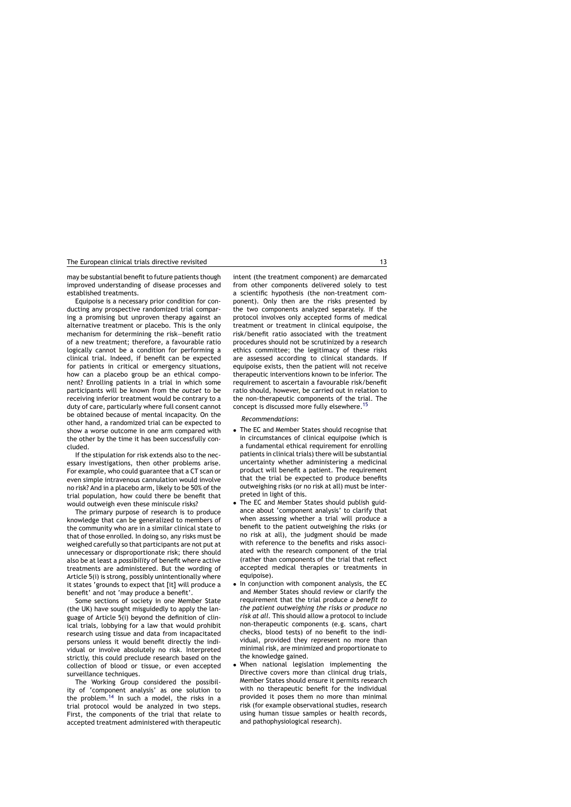may be substantial benefit to future patients though improved understanding of disease processes and established treatments.

Equipoise is a necessary prior condition for conducting any prospective randomized trial comparing a promising but unproven therapy against an alternative treatment or placebo. This is the only mechanism for determining the risk—benefit ratio of a new treatment; therefore, a favourable ratio logically cannot be a condition for performing a clinical trial. Indeed, if benefit can be expected for patients in critical or emergency situations, how can a placebo group be an ethical component? Enrolling patients in a trial in which some participants will be known from the *outset* to be receiving inferior treatment would be contrary to a duty of care, particularly where full consent cannot be obtained because of mental incapacity. On the other hand, a randomized trial can be expected to show a worse outcome in one arm compared with the other by the time it has been successfully concluded.

If the stipulation for risk extends also to the necessary investigations, then other problems arise. For example, who could guarantee that a CT scan or even simple intravenous cannulation would involve no risk? And in a placebo arm, likely to be 50% of the trial population, how could there be benefit that would outweigh even these miniscule risks?

The primary purpose of research is to produce knowledge that can be generalized to members of the community who are in a similar clinical state to that of those enrolled. In doing so, any risks must be weighed carefully so that participants are not put at unnecessary or disproportionate risk; there should also be at least a *possibility* of benefit where active treatments are administered. But the wording of Article 5(i) is strong, possibly unintentionally where it states 'grounds to expect that [it] will produce a benefit' and not 'may produce a benefit'.

Some sections of society in one Member State (the UK) have sought misguidedly to apply the language of Article 5(i) beyond the definition of clinical trials, lobbying for a law that would prohibit research using tissue and data from incapacitated persons unless it would benefit directly the individual or involve absolutely no risk. Interpreted strictly, this could preclude research based on the collection of blood or tissue, or even accepted surveillance techniques.

The Working Group considered the possibility of 'component analysis' as one solution to the problem.<sup>[14](#page-5-0)</sup> In such a model, the risks in a trial protocol would be analyzed in two steps. First, the components of the trial that relate to accepted treatment administered with therapeutic intent (the treatment component) are demarcated from other components delivered solely to test a scientific hypothesis (the non-treatment component). Only then are the risks presented by the two components analyzed separately. If the protocol involves only accepted forms of medical treatment or treatment in clinical equipoise, the risk/benefit ratio associated with the treatment

procedures should not be scrutinized by a research ethics committee; the legitimacy of these risks are assessed according to clinical standards. If equipoise exists, then the patient will not receive therapeutic interventions known to be inferior. The requirement to ascertain a favourable risk/benefit ratio should, however, be carried out in relation to the non-therapeutic components of the trial. The concept is discussed more fully elsewhere.[15](#page-5-0)

#### *Recommendations*:

- The EC and Member States should recognise that in circumstances of clinical equipoise (which is a fundamental ethical requirement for enrolling patients in clinical trials) there will be substantial uncertainty whether administering a medicinal product will benefit a patient. The requirement that the trial be expected to produce benefits outweighing risks (or no risk at all) must be interpreted in light of this.
- The EC and Member States should publish guidance about 'component analysis' to clarify that when assessing whether a trial will produce a benefit to the patient outweighing the risks (or no risk at all), the judgment should be made with reference to the benefits and risks associated with the research component of the trial (rather than components of the trial that reflect accepted medical therapies or treatments in equipoise).
- In conjunction with component analysis, the EC and Member States should review or clarify the requirement that the trial produce *a benefit to the patient outweighing the risks or produce no risk at all.* This should allow a protocol to include non-therapeutic components (e.g. scans, chart checks, blood tests) of no benefit to the individual, provided they represent no more than minimal risk, are minimized and proportionate to the knowledge gained.
- When national legislation implementing the Directive covers more than clinical drug trials, Member States should ensure it permits research with no therapeutic benefit for the individual provided it poses them no more than minimal risk (for example observational studies, research using human tissue samples or health records, and pathophysiological research).